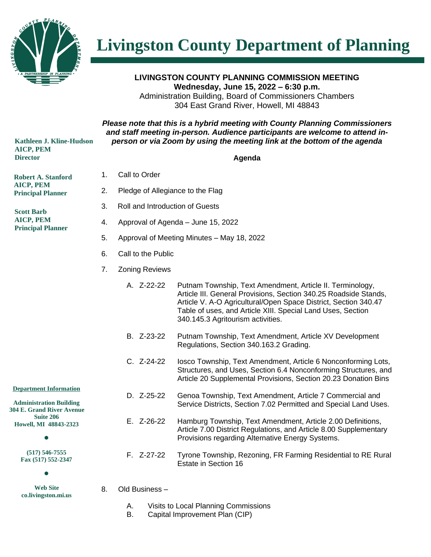

**Livingston County Department of Planning** 

**LIVINGSTON COUNTY PLANNING COMMISSION MEETING Wednesday, June 15, 2022 – 6:30 p.m.** Administration Building, Board of Commissioners Chambers 304 East Grand River, Howell, MI 48843

## *Please note that this is a hybrid meeting with County Planning Commissioners and staff meeting in-person. Audience participants are welcome to attend inperson or via Zoom by using the meeting link at the bottom of the agenda*

**Agenda**

 **Kathleen J. Kline-Hudson AICP, PEM Director**

**Robert A. Stanford AICP, PEM Principal Planner**

**Scott Barb AICP, PEM Principal Planner**

- 1. Call to Order
	- 2. Pledge of Allegiance to the Flag
	- 3. Roll and Introduction of Guests
	- 4. Approval of Agenda June 15, 2022
	- 5. Approval of Meeting Minutes May 18, 2022
	- 6. Call to the Public
	- 7. Zoning Reviews
		- A. Z-22-22 Putnam Township, Text Amendment, Article II. Terminology, Article III. General Provisions, Section 340.25 Roadside Stands, Article V. A-O Agricultural/Open Space District, Section 340.47 Table of uses, and Article XIII. Special Land Uses, Section 340.145.3 Agritourism activities.
		- B. Z-23-22 Putnam Township, Text Amendment, Article XV Development Regulations, Section 340.163.2 Grading.

D. Z-25-22 Genoa Township, Text Amendment, Article 7 Commercial and

E. Z-26-22 Hamburg Township, Text Amendment, Article 2.00 Definitions,

Provisions regarding Alternative Energy Systems.

C. Z-24-22 Iosco Township, Text Amendment, Article 6 Nonconforming Lots, Structures, and Uses, Section 6.4 Nonconforming Structures, and Article 20 Supplemental Provisions, Section 20.23 Donation Bins

Service Districts, Section 7.02 Permitted and Special Land Uses.

Article 7.00 District Regulations, and Article 8.00 Supplementary

**Department Information**

**Administration Building 304 E. Grand River Avenue Suite 206 Howell, MI 48843-2323**

 $\bullet$ 

**(517) 546-7555 Fax (517) 552-2347**

 $\bullet$ 

- **Web Site co.livingston.mi.us**
- F. Z-27-22 Tyrone Township, Rezoning, FR Farming Residential to RE Rural Estate in Section 16
- 8. Old Business
	- A. Visits to Local Planning Commissions
	- B. Capital Improvement Plan (CIP)